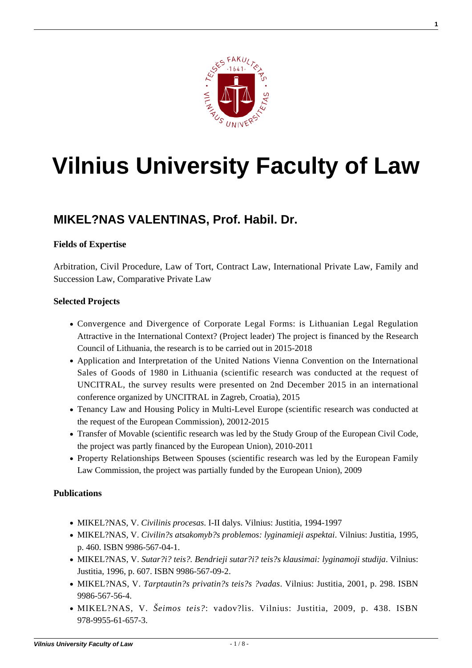

**1**

# **[Vilnius University Faculty of Law](https://www.tf.vu.lt/)**

## **[MIKEL?NAS VALENTINAS, Prof. Habil. Dr.](https://www.tf.vu.lt/about_us/science-centers/science-center-of-private-comparative-law/mikelenas-valentinas-prof-habil-dr/)**

### **Fields of Expertise**

Arbitration, Civil Procedure, Law of Tort, Contract Law, International Private Law, Family and Succession Law, Comparative Private Law

#### **Selected Projects**

- Convergence and Divergence of Corporate Legal Forms: is Lithuanian Legal Regulation Attractive in the International Context? (Project leader) The project is financed by the Research Council of Lithuania, the research is to be carried out in 2015-2018
- Application and Interpretation of the United Nations Vienna Convention on the International Sales of Goods of 1980 in Lithuania (scientific research was conducted at the request of UNCITRAL, the survey results were presented on 2nd December 2015 in an international conference organized by UNCITRAL in Zagreb, Croatia), 2015
- Tenancy Law and Housing Policy in Multi-Level Europe (scientific research was conducted at the request of the European Commission), 20012-2015
- Transfer of Movable (scientific research was led by the Study Group of the European Civil Code, the project was partly financed by the European Union), 2010-2011
- Property Relationships Between Spouses (scientific research was led by the European Family Law Commission, the project was partially funded by the European Union), 2009

#### **Publications**

- MIKEL?NAS, V. *Civilinis procesas*. I-II dalys. Vilnius: Justitia, 1994-1997
- MIKEL?NAS, V. *Civilin?s atsakomyb?s problemos: lyginamieji aspektai*. Vilnius: Justitia, 1995, p. 460. ISBN 9986-567-04-1.
- MIKEL?NAS, V. *Sutar?i? teis?. Bendrieji sutar?i? teis?s klausimai: lyginamoji studija*. Vilnius: Justitia, 1996, p. 607. ISBN 9986-567-09-2.
- MIKEL?NAS, V. *Tarptautin?s privatin?s teis?s ?vadas*. Vilnius: Justitia, 2001, p. 298. ISBN 9986-567-56-4.
- MIKEL?NAS, V. *Šeimos teis?*: vadov?lis. Vilnius: Justitia, 2009, p. 438. ISBN 978-9955-61-657-3.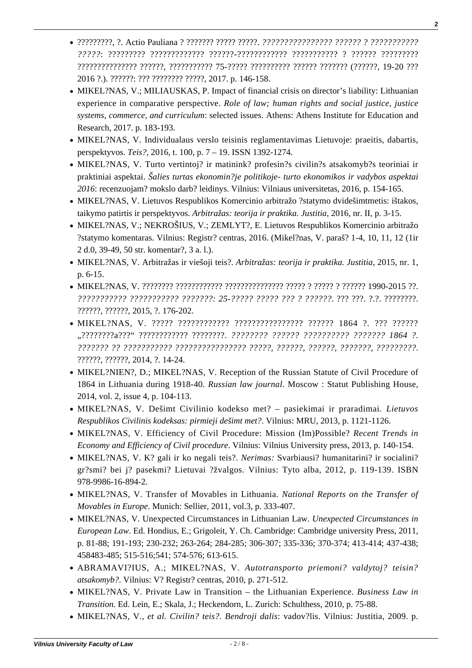- ?????????, ?. Actio Pauliana ? ??????? ????? ?????. *???????????????? ?????? ? ??????????? ?????*: ????????? ????????????? ??????-???????????? ??????????? ? ?????? ????????? ??????????????? ??????, ??????????? 75-????? ?????????? ?????? ??????? (??????, 19-20 ??? 2016 ?.). ??????: ??? ???????? ?????, 2017. p. 146-158.
- MIKEL?NAS, V.; MILIAUSKAS, P. Impact of financial crisis on director's liability: Lithuanian experience in comparative perspective. *Role of law; human rights and social justice, justice systems, commerce, and curriculum*: selected issues. Athens: Athens Institute for Education and Research, 2017. p. 183-193.
- [MIKEL?NAS, V. Individualaus verslo teisinis reglamentavimas Lietuvoje: praeitis, dabartis,](http://www.zurnalai.vu.lt/teise/article/view/10243/8397) [perspektyvos.](http://www.zurnalai.vu.lt/teise/article/view/10243/8397) *[Teis?](http://www.zurnalai.vu.lt/teise/article/view/10243/8397)*[, 2016, t. 100, p. 7 – 19. ISSN 1392-1274.](http://www.zurnalai.vu.lt/teise/article/view/10243/8397)
- MIKEL?NAS, V. Turto vertintoj? ir matinink? profesin?s civilin?s atsakomyb?s teoriniai ir praktiniai aspektai. *Šalies turtas ekonomin?je politikoje- turto ekonomikos ir vadybos aspektai 2016*: recenzuojam? mokslo darb? leidinys. Vilnius: Vilniaus universitetas, 2016, p. 154-165.
- MIKEL?NAS, V. Lietuvos Respublikos Komercinio arbitražo ?statymo dvidešimtmetis: ištakos, taikymo patirtis ir perspektyvos. *Arbitražas: teorija ir praktika. Justitia*, 2016, nr. II, p. 3-15.
- MIKEL?NAS, V.; NEKROŠIUS, V.; ZEMLYT?, E. Lietuvos Respublikos Komercinio arbitražo ?statymo komentaras. Vilnius: Registr? centras, 2016. (Mikel?nas, V. paraš? 1-4, 10, 11, 12 (1ir 2 d.0, 39-49, 50 str. komentar?, 3 a. l.).
- MIKEL?NAS, V. Arbitražas ir viešoji teis?. *Arbitražas: teorija ir praktika. Justitia*, 2015, nr. 1, p. 6-15.
- MIKEL?NAS, V. ???????? ???????????? ??????????????? ????? ? ????? ? ?????? 1990-2015 ??. *??????????? ??????????? ???????: 25-????? ????? ??? ? ??????*. ??? ???. ?.?. ????????. ??????, ??????, 2015, ?. 176-202.
- MIKEL?NAS, V. ????? ???????????? ???????????????? ?????? 1864 ?. ??? ?????? "????????a???" ???????????? ????????. *???????? ?????? ?????????? ??????? 1864 ?. ??????? ?? ??????????? ???????????????? ?????, ??????, ??????, ???????, ?????????*. ??????, ??????, 2014, ?. 14-24.
- MIKEL?NIEN?, D.: MIKEL?NAS, V. Reception of the Russian Statute of Civil Procedure of 1864 in Lithuania during 1918-40. *Russian law journal.* Moscow : Statut Publishing House, 2014, vol. 2, issue 4, p. 104-113.
- MIKEL?NAS, V. Dešimt Civilinio kodekso met? pasiekimai ir praradimai*. Lietuvos Respublikos Civilinis kodeksas: pirmieji dešimt met?*. Vilnius: MRU, 2013, p. 1121-1126.
- MIKEL?NAS, V. Efficiency of Civil Procedure: Mission (Im)Possible? *Recent Trends in Economy and Efficiency of Civil procedure*. Vilnius: Vilnius University press, 2013, p. 140-154.
- MIKEL?NAS, V. K? gali ir ko negali teis?. *Nerimas:* Svarbiausi? humanitarini? ir socialini? gr?smi? bei j? pasekmi? Lietuvai ?žvalgos*.* Vilnius: Tyto alba, 2012, p. 119-139. ISBN 978-9986-16-894-2.
- MIKEL?NAS, V. Transfer of Movables in Lithuania. *National Reports on the Transfer of Movables in Europe*. Munich: Sellier, 2011, vol.3, p. 333-407.
- MIKEL?NAS, V. Unexpected Circumstances in Lithuanian Law. *Unexpected Circumstances in European Law*. Ed. Hondius, E.; Grigoleit, Y. Ch. Cambridge: Cambridge university Press, 2011, p. 81-88; 191-193; 230-232; 263-264; 284-285; 306-307; 335-336; 370-374; 413-414; 437-438; 458483-485; 515-516;541; 574-576; 613-615.
- ABRAMAVI?IUS, A.; MIKEL?NAS, V. *Autotransporto priemoni? valdytoj? teisin? atsakomyb?*. Vilnius: V? Registr? centras, 2010, p. 271-512.
- MIKEL?NAS, V. Private Law in Transition the Lithuanian Experience. *Business Law in Transition*. Ed. Lein, E.; Skala, J.; Heckendorn, L. Zurich: Schulthess, 2010, p. 75-88.
- MIKEL?NAS, V*., et al. Civilin? teis?. Bendroji dalis*: vadov?lis. Vilnius: Justitia, 2009. p.

**2**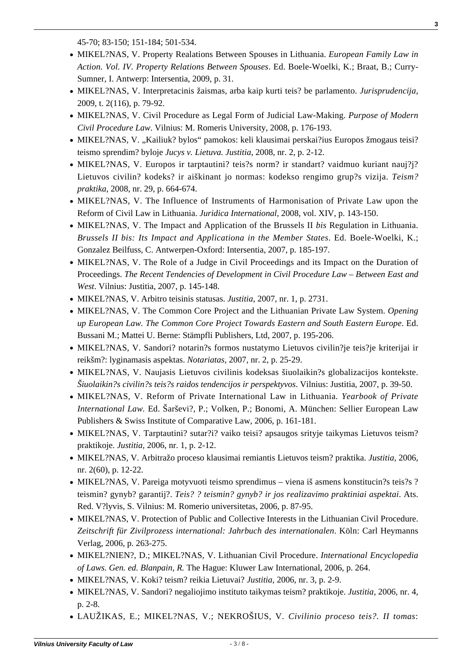**3**

45-70; 83-150; 151-184; 501-534.

- MIKEL?NAS, V. Property Realations Between Spouses in Lithuania. *European Family Law in Action. Vol. IV. Property Relations Between Spouses*. Ed. Boele-Woelki, K.; Braat, B.; Curry-Sumner, I. Antwerp: Intersentia, 2009, p. 31.
- [MIKEL?NAS, V. Interpretacinis žaismas, arba kaip kurti teis? be parlamento.](https://www.mruni.eu/upload/iblock/3ea/mikelenas.pdf) *[Jurisprudencija](https://www.mruni.eu/upload/iblock/3ea/mikelenas.pdf)*[,](https://www.mruni.eu/upload/iblock/3ea/mikelenas.pdf) [2009, t. 2\(116\), p. 79-92.](https://www.mruni.eu/upload/iblock/3ea/mikelenas.pdf)
- MIKEL?NAS, V. Civil Procedure as Legal Form of Judicial Law-Making. *Purpose of Modern Civil Procedure Law*. Vilnius: M. Romeris University, 2008, p. 176-193.
- MIKEL?NAS, V. "Kailiuk? bylos" pamokos: keli klausimai perskai?ius Europos žmogaus teisi? teismo sprendim? byloje *Jucys v. Lietuva. Justitia*, 2008, nr. 2, p. 2-12.
- MIKEL?NAS, V. Europos ir tarptautini? teis?s norm? ir standart? vaidmuo kuriant nauj?j? Lietuvos civilin? kodeks? ir aiškinant jo normas: kodekso rengimo grup?s vizija. *Teism? praktika*, 2008, nr. 29, p. 664-674.
- MIKEL?NAS, V. The Influence of Instruments of Harmonisation of Private Law upon the Reform of Civil Law in Lithuania. *Juridica International*, 2008, vol. XIV, p. 143-150.
- MIKEL?NAS, V. The Impact and Application of the Brussels II *bis* Regulation in Lithuania. *Brussels II bis: Its Impact and Applicationa in the Member States*. Ed. Boele-Woelki, K.; Gonzalez Beilfuss, C. Antwerpen-Oxford: Intersentia, 2007, p. 185-197.
- MIKEL?NAS, V. The Role of a Judge in Civil Proceedings and its Impact on the Duration of Proceedings. *The Recent Tendencies of Development in Civil Procedure Law – Between East and West*. Vilnius: Justitia, 2007, p. 145-148.
- MIKEL?NAS, V. Arbitro teisinis statusas. *Justitia*, 2007, nr. 1, p. 2731.
- MIKEL?NAS, V. The Common Core Project and the Lithuanian Private Law System. *Opening up European Law. The Common Core Project Towards Eastern and South Eastern Europe*. Ed. Bussani M.; Mattei U. Berne: Stämpfli Publishers, Ltd, 2007, p. 195-206.
- [MIKEL?NAS, V. Sandori? notarin?s formos nustatymo Lietuvos civilin?je teis?je kriterijai ir](http://www.notarurumai.lt/index.php/lt/leidiniai/item/6-notariatas-nr2) [reikšm?: lyginamasis aspektas.](http://www.notarurumai.lt/index.php/lt/leidiniai/item/6-notariatas-nr2) *[Notariatas](http://www.notarurumai.lt/index.php/lt/leidiniai/item/6-notariatas-nr2)*[, 2007, nr. 2, p. 25-29.](http://www.notarurumai.lt/index.php/lt/leidiniai/item/6-notariatas-nr2)
- MIKEL?NAS, V. Naujasis Lietuvos civilinis kodeksas šiuolaikin?s globalizacijos kontekste. *Šiuolaikin?s civilin?s teis?s raidos tendencijos ir perspektyvos*. Vilnius: Justitia, 2007, p. 39-50.
- MIKEL?NAS, V. Reform of Private International Law in Lithuania. *Yearbook of Private International Law.* Ed. Šarševi?, P.; Volken, P.; Bonomi, A. München: Sellier European Law Publishers & Swiss Institute of Comparative Law, 2006, p. 161-181.
- MIKEL?NAS, V. Tarptautini? sutar?i? vaiko teisi? apsaugos srityje taikymas Lietuvos teism? praktikoje. *Justitia,* 2006, nr. 1, p. 2-12.
- MIKEL?NAS, V. Arbitražo proceso klausimai remiantis Lietuvos teism? praktika. *Justitia,* 2006, nr. 2(60), p. 12-22.
- MIKEL?NAS, V. Pareiga motyvuoti teismo sprendimus viena iš asmens konstitucin?s teis?s ? teismin? gynyb? garantij?. *Teis? ? teismin? gynyb? ir jos realizavimo praktiniai aspektai*. Ats. Red. V?lyvis, S. Vilnius: M. Romerio universitetas, 2006, p. 87-95.
- MIKEL?NAS, V. Protection of Public and Collective Interests in the Lithuanian Civil Procedure. *Zeitschrift für Zivilprozess international: Jahrbuch des internationalen*. Köln: Carl Heymanns Verlag, 2006, p. 263-275.
- MIKEL?NIEN?, D.; MIKEL?NAS, V. Lithuanian Civil Procedure. *International Encyclopedia of Laws. Gen. ed. Blanpain, R.* The Hague: Kluwer Law International, 2006, p. 264.
- MIKEL?NAS, V. Koki? teism? reikia Lietuvai? *Justitia,* 2006, nr. 3, p. 2-9.
- MIKEL?NAS, V. Sandori? negaliojimo instituto taikymas teism? praktikoje. *Justitia*, 2006, nr. 4, p. 2-8.
- LAUŽIKAS, E.; MIKEL?NAS, V.; NEKROŠIUS, V. *Civilinio proceso teis?. II tomas*: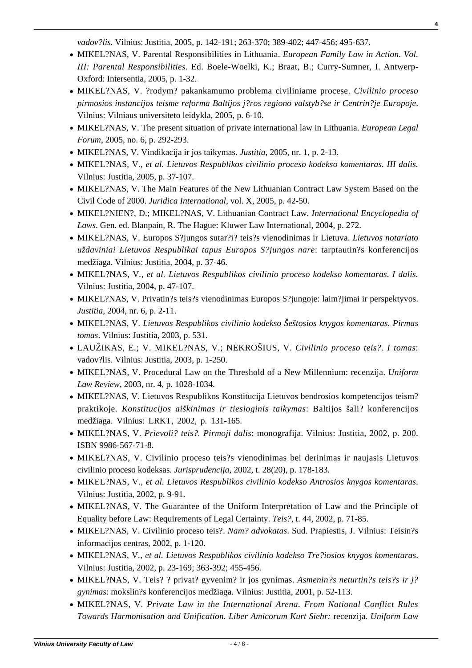*vadov?lis.* Vilnius: Justitia, 2005, p. 142-191; 263-370; 389-402; 447-456; 495-637.

- MIKEL?NAS, V. Parental Responsibilities in Lithuania. *European Family Law in Action. Vol. III: Parental Responsibilities*. Ed. Boele-Woelki, K.; Braat, B.; Curry-Sumner, I. Antwerp-Oxford: Intersentia, 2005, p. 1-32.
- MIKEL?NAS, V. ?rodym? pakankamumo problema civiliniame procese. *Civilinio proceso pirmosios instancijos teisme reforma Baltijos j?ros regiono valstyb?se ir Centrin?je Europoje*. Vilnius: Vilniaus universiteto leidykla, 2005, p. 6-10.
- MIKEL?NAS, V. The present situation of private international law in Lithuania. *European Legal Forum*, 2005, no. 6, p. 292-293.
- MIKEL?NAS, V. Vindikacija ir jos taikymas. *Justitia*, 2005, nr. 1, p. 2-13.
- MIKEL?NAS, V*., et al. Lietuvos Respublikos civilinio proceso kodekso komentaras. III dalis.* Vilnius: Justitia, 2005, p. 37-107.
- MIKEL?NAS, V. The Main Features of the New Lithuanian Contract Law System Based on the Civil Code of 2000. *Juridica International,* vol. X, 2005, p. 42-50.
- MIKEL?NIEN?, D.; MIKEL?NAS, V. Lithuanian Contract Law*. International Encyclopedia of Laws*. Gen. ed. Blanpain, R. The Hague: Kluwer Law International, 2004, p. 272.
- MIKEL?NAS, V. Europos S?jungos sutar?i? teis?s vienodinimas ir Lietuva. *Lietuvos notariato uždaviniai Lietuvos Respublikai tapus Europos S?jungos nare*: tarptautin?s konferencijos medžiaga. Vilnius: Justitia, 2004, p. 37-46.
- MIKEL?NAS, V*., et al. Lietuvos Respublikos civilinio proceso kodekso komentaras. I dalis.* Vilnius: Justitia, 2004, p. 47-107.
- MIKEL?NAS, V. Privatin?s teis?s vienodinimas Europos S?jungoje: laim?jimai ir perspektyvos. *Justitia*, 2004, nr. 6, p. 2-11.
- MIKEL?NAS, V. *Lietuvos Respublikos civilinio kodekso Šeštosios knygos komentaras. Pirmas tomas*. Vilnius: Justitia, 2003, p. 531.
- LAUŽIKAS, E.; V. MIKEL?NAS, V.; NEKROŠIUS, V. *Civilinio proceso teis?. I tomas*: vadov?lis. Vilnius: Justitia, 2003, p. 1-250.
- MIKEL?NAS, V. Procedural Law on the Threshold of a New Millennium: recenzija. *Uniform Law Review*, 2003, nr. 4, p. 1028-1034.
- MIKEL?NAS, V. Lietuvos Respublikos Konstitucija Lietuvos bendrosios kompetencijos teism? praktikoje. *Konstitucijos aiškinimas ir tiesioginis taikymas*: Baltijos šali? konferencijos medžiaga. Vilnius: LRKT, 2002, p. 131-165.
- MIKEL?NAS, V. *Prievoli? teis?. Pirmoji dalis*: monografija. Vilnius: Justitia, 2002, p. 200. ISBN 9986-567-71-8.
- MIKEL?NAS, V. Civilinio proceso teis?s vienodinimas bei derinimas ir naujasis Lietuvos civilinio proceso kodeksas. *Jurisprudencija*, 2002, t. 28(20), p. 178-183.
- MIKEL?NAS, V*., et al. Lietuvos Respublikos civilinio kodekso Antrosios knygos komentaras*. Vilnius: Justitia, 2002, p. 9-91.
- MIKEL?NAS, V. The Guarantee of the Uniform Interpretation of Law and the Principle of Equality before Law: Requirements of Legal Certainty. *Teis?*, t. 44, 2002, p. 71-85.
- MIKEL?NAS, V. Civilinio proceso teis?. *Nam? advokatas*. Sud. Prapiestis, J. Vilnius: Teisin?s informacijos centras, 2002, p. 1-120.
- MIKEL?NAS, V*., et al. Lietuvos Respublikos civilinio kodekso Tre?iosios knygos komentaras*. Vilnius: Justitia, 2002, p. 23-169; 363-392; 455-456.
- MIKEL?NAS, V. Teis? ? privat? gyvenim? ir jos gynimas. *Asmenin?s neturtin?s teis?s ir j? gynimas*: mokslin?s konferencijos medžiaga. Vilnius: Justitia, 2001, p. 52-113.
- MIKEL?NAS, V. *Private Law in the International Arena. From National Conflict Rules Towards Harmonisation and Unification. Liber Amicorum Kurt Siehr:* recenzija*. Uniform Law*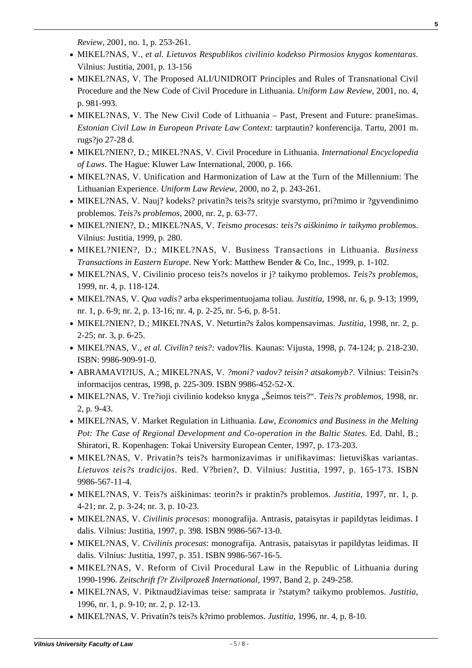*Review*, 2001, no. 1, p. 253-261.

- MIKEL?NAS, V*., et al. Lietuvos Respublikos civilinio kodekso Pirmosios knygos komentaras*. Vilnius: Justitia, 2001, p. 13-156
- MIKEL?NAS, V. The Proposed ALI/UNIDROIT Principles and Rules of Transnational Civil Procedure and the New Code of Civil Procedure in Lithuania. *Uniform Law Review*, 2001, no. 4, p. 981-993.
- MIKEL?NAS, V. The New Civil Code of Lithuania Past, Present and Future: pranešimas. *Estonian Civil Law in European Private Law Context:* tarptautin? konferencija. Tartu, 2001 m. rugs?jo 27-28 d.
- MIKEL?NIEN?, D.; MIKEL?NAS, V. Civil Procedure in Lithuania. *International Encyclopedia of Laws*. The Hague: Kluwer Law International, 2000, p. 166.
- MIKEL?NAS, V. Unification and Harmonization of Law at the Turn of the Millennium: The Lithuanian Experience. *Uniform Law Review*, 2000, no 2, p. 243-261.
- MIKEL?NAS, V. Nauj? kodeks? privatin?s teis?s srityje svarstymo, pri?mimo ir ?gyvendinimo problemos. *Teis?s problemos*, 2000, nr. 2, p. 63-77.
- MIKEL?NIEN?, D.; MIKEL?NAS, V. *Teismo procesas: teis?s aiškinimo ir taikymo problemo*s. Vilnius: Justitia, 1999, p. 280.
- MIKEL?NIEN?, D.; MIKEL?NAS, V. Business Transactions in Lithuania. *Business Transactions in Eastern Europe*. New York: Matthew Bender & Co, Inc., 1999, p. 1-102.
- MIKEL?NAS, V. Civilinio proceso teis?s novelos ir j? taikymo problemos. *Teis?s problemos*, 1999, nr. 4, p. 118-124.
- MIKEL?NAS, V. *Qua vadis?* arba eksperimentuojama toliau. *Justitia*, 1998, nr. 6, p. 9-13; 1999, nr. 1, p. 6-9; nr. 2, p. 13-16; nr. 4, p. 2-25, nr. 5-6, p. 8-51.
- MIKEL?NIEN?, D.; MIKEL?NAS, V. Neturtin?s žalos kompensavimas. *Justitia*, 1998, nr. 2, p. 2-25; nr. 3, p. 6-25.
- MIKEL?NAS, V*., et al. Civilin? teis?:* vadov?lis. Kaunas: Vijusta, 1998, p. 74-124; p. 218-230. ISBN: 9986-909-91-0.
- ABRAMAVI?IUS, A.; MIKEL?NAS, V. *?moni? vadov? teisin? atsakomyb?*. Vilnius: Teisin?s informacijos centras, 1998, p. 225-309. ISBN 9986-452-52-X.
- MIKEL?NAS, V. Tre?ioji civilinio kodekso knyga "Šeimos teis?". *Teis?s problemos*, 1998, nr. 2, p. 9-43.
- MIKEL?NAS, V. Market Regulation in Lithuania. *Law, Economics and Business in the Melting Pot: The Case of Regional Development and Co-operation in the Baltic States*. Ed. Dahl, B.; Shiratori, R. Kopenhagen: Tokai University European Center, 1997, p. 173-203.
- MIKEL?NAS, V. Privatin?s teis?s harmonizavimas ir unifikavimas: lietuviškas variantas. *Lietuvos teis?s tradicijos*. Red. V?brien?, D. Vilnius: Justitia, 1997, p. 165-173. ISBN 9986-567-11-4.
- MIKEL?NAS, V. Teis?s aiškinimas: teorin?s ir praktin?s problemos. *Justitia*, 1997, nr. 1, p. 4-21; nr. 2, p. 3-24; nr. 3, p. 10-23.
- MIKEL?NAS, V. *Civilinis procesas*: monografija. Antrasis, pataisytas ir papildytas leidimas. I dalis. Vilnius: Justitia, 1997, p. 398. ISBN 9986-567-13-0.
- MIKEL?NAS, V. *Civilinis procesas*: monografija. Antrasis, pataisytas ir papildytas leidimas. II dalis. Vilnius: Justitia, 1997, p. 351. ISBN 9986-567-16-5.
- MIKEL?NAS, V. Reform of Civil Procedural Law in the Republic of Lithuania during 1990-1996. *Zeitschrift f?r Zivilprozeß International*, 1997, Band 2, p. 249-258.
- MIKEL?NAS, V. Piktnaudžiavimas teise: samprata ir ?statym? taikymo problemos. *Justitia*, 1996, nr. 1, p. 9-10; nr. 2, p. 12-13.
- MIKEL?NAS, V. Privatin?s teis?s k?rimo problemos. *Justitia*, 1996, nr. 4, p. 8-10.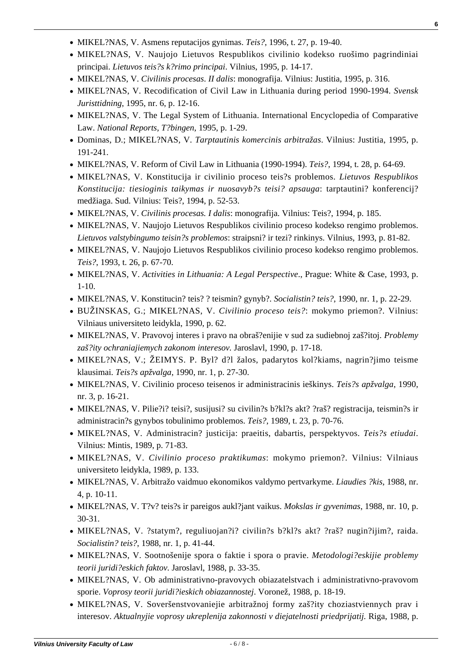- MIKEL?NAS, V. Asmens reputacijos gynimas. *Teis?*, 1996, t. 27, p. 19-40.
- MIKEL?NAS, V. Naujojo Lietuvos Respublikos civilinio kodekso ruošimo pagrindiniai principai. *Lietuvos teis?s k?rimo principai*. Vilnius, 1995, p. 14-17.
- MIKEL?NAS, V. *Civilinis procesas*. *II dalis*: monografija. Vilnius: Justitia, 1995, p. 316.
- MIKEL?NAS, V. Recodification of Civil Law in Lithuania during period 1990-1994. *Svensk Juristtidning*, 1995, nr. 6, p. 12-16.
- MIKEL?NAS, V. The Legal System of Lithuania. International Encyclopedia of Comparative Law. *National Reports, T?bingen*, 1995, p. 1-29.
- Dominas, D.; MIKEL?NAS, V. *Tarptautinis komercinis arbitražas*. Vilnius: Justitia, 1995, p. 191-241.
- MIKEL?NAS, V. Reform of Civil Law in Lithuania (1990-1994). *Teis?*, 1994, t. 28, p. 64-69.
- MIKEL?NAS, V. Konstitucija ir civilinio proceso teis?s problemos. *Lietuvos Respublikos Konstitucija: tiesioginis taikymas ir nuosavyb?s teisi? apsauga*: tarptautini? konferencij? medžiaga. Sud. Vilnius: Teis?, 1994, p. 52-53.
- MIKEL?NAS, V. *Civilinis procesas. I dalis*: monografija. Vilnius: Teis?, 1994, p. 185.
- MIKEL?NAS, V. Naujojo Lietuvos Respublikos civilinio proceso kodekso rengimo problemos. *Lietuvos valstybingumo teisin?s problemos*: straipsni? ir tezi? rinkinys. Vilnius, 1993, p. 81-82.
- MIKEL?NAS, V. Naujojo Lietuvos Respublikos civilinio proceso kodekso rengimo problemos. *Teis?*, 1993, t. 26, p. 67-70.
- MIKEL?NAS, V. *Activities in Lithuania: A Legal Perspective*., Prague: White & Case, 1993, p. 1-10.
- MIKEL?NAS, V. Konstitucin? teis? ? teismin? gynyb?. *Socialistin? teis?*, 1990, nr. 1, p. 22-29.
- BUŽINSKAS, G.; MIKEL?NAS, V. *Civilinio proceso teis?*: mokymo priemon?. Vilnius: Vilniaus universiteto leidykla, 1990, p. 62.
- MIKEL?NAS, V. Pravovoj interes i pravo na obraš?enijie v sud za sudiebnoj zaš?itoj. *Problemy zaš?ity ochraniajiemych zakonom interesov.* Jaroslavl, 1990, p. 17-18.
- MIKEL?NAS, V.; ŽEIMYS. P. Byl? d?l žalos, padarytos kol?kiams, nagrin?jimo teisme klausimai. *Teis?s apžvalga*, 1990, nr. 1, p. 27-30.
- MIKEL?NAS, V. Civilinio proceso teisenos ir administracinis ieškinys. *Teis?s apžvalga*, 1990, nr. 3, p. 16-21.
- MIKEL?NAS, V. Pilie?i? teisi?, susijusi? su civilin?s b?kl?s akt? ?raš? registracija, teismin?s ir administracin?s gynybos tobulinimo problemos. *Teis?*, 1989, t. 23, p. 70-76.
- MIKEL?NAS, V. Administracin? justicija: praeitis, dabartis, perspektyvos. *Teis?s etiudai*. Vilnius: Mintis, 1989, p. 71-83.
- MIKEL?NAS, V. *Civilinio proceso praktikumas*: mokymo priemon?. Vilnius: Vilniaus universiteto leidykla, 1989, p. 133.
- MIKEL?NAS, V. Arbitražo vaidmuo ekonomikos valdymo pertvarkyme. *Liaudies ?kis*, 1988, nr. 4, p. 10-11.
- MIKEL?NAS, V. T?v? teis?s ir pareigos aukl?jant vaikus. *Mokslas ir gyvenimas*, 1988, nr. 10, p. 30-31.
- MIKEL?NAS, V. ?statym?, reguliuojan?i? civilin?s b?kl?s akt? ?raš? nugin?ijim?, raida. *Socialistin? teis?*, 1988, nr. 1, p. 41-44.
- MIKEL?NAS, V. Sootnošenije spora o faktie i spora o pravie. *Metodologi?eskijie problemy teorii juridi?eskich faktov.* Jaroslavl, 1988, p. 33-35.
- MIKEL?NAS, V. Ob administrativno-pravovych obiazatelstvach i administrativno-pravovom sporie. *Voprosy teorii juridi?ieskich obiazannostej*. Voronež, 1988, p. 18-19.
- MIKEL?NAS, V. Soveršenstvovaniejie arbitražnoj formy zaš?ity choziastviennych prav i interesov. *Aktualnyjie voprosy ukreplenija zakonnosti v diejatelnosti priedprijatij.* Riga, 1988, p.